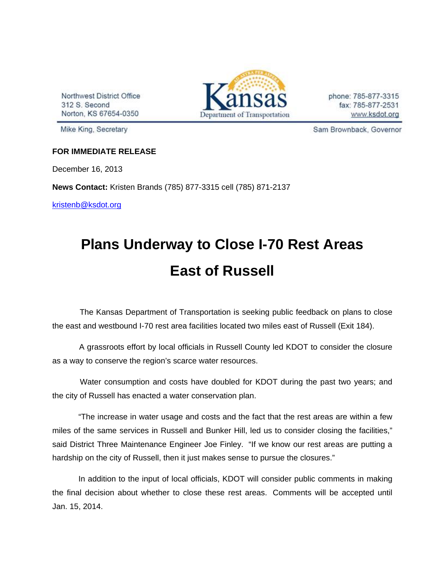Northwest District Office 312 S. Second Norton, KS 67654-0350



phone: 785-877-3315 fax: 785-877-2531 www.ksdot.org

Mike King, Secretary

Sam Brownback, Governor

## **FOR IMMEDIATE RELEASE**

December 16, 2013

**News Contact:** Kristen Brands (785) 877-3315 cell (785) 871-2137

kristenb@ksdot.org

## **Plans Underway to Close I-70 Rest Areas East of Russell**

 The Kansas Department of Transportation is seeking public feedback on plans to close the east and westbound I-70 rest area facilities located two miles east of Russell (Exit 184).

 A grassroots effort by local officials in Russell County led KDOT to consider the closure as a way to conserve the region's scarce water resources.

 Water consumption and costs have doubled for KDOT during the past two years; and the city of Russell has enacted a water conservation plan.

"The increase in water usage and costs and the fact that the rest areas are within a few miles of the same services in Russell and Bunker Hill, led us to consider closing the facilities," said District Three Maintenance Engineer Joe Finley. "If we know our rest areas are putting a hardship on the city of Russell, then it just makes sense to pursue the closures."

In addition to the input of local officials, KDOT will consider public comments in making the final decision about whether to close these rest areas. Comments will be accepted until Jan. 15, 2014.